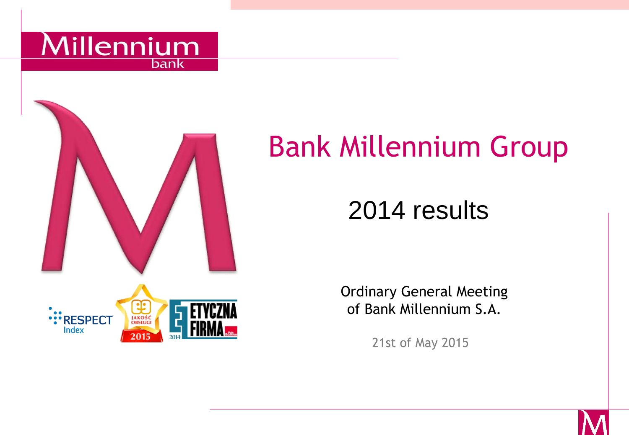



# Bank Millennium Group

# 2014 results

Ordinary General Meeting of Bank Millennium S.A.

21st of May 2015

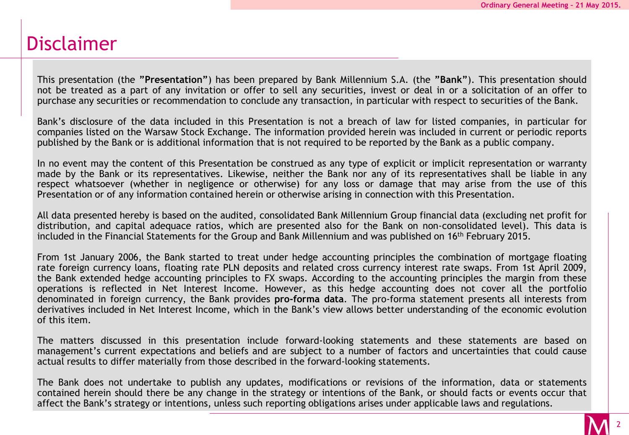## Disclaimer

This presentation (the **"Presentation"**) has been prepared by Bank Millennium S.A. (the **"Bank"**). This presentation should not be treated as a part of any invitation or offer to sell any securities, invest or deal in or a solicitation of an offer to purchase any securities or recommendation to conclude any transaction, in particular with respect to securities of the Bank.

Bank's disclosure of the data included in this Presentation is not a breach of law for listed companies, in particular for companies listed on the Warsaw Stock Exchange. The information provided herein was included in current or periodic reports published by the Bank or is additional information that is not required to be reported by the Bank as a public company.

In no event may the content of this Presentation be construed as any type of explicit or implicit representation or warranty made by the Bank or its representatives. Likewise, neither the Bank nor any of its representatives shall be liable in any respect whatsoever (whether in negligence or otherwise) for any loss or damage that may arise from the use of this Presentation or of any information contained herein or otherwise arising in connection with this Presentation.

All data presented hereby is based on the audited, consolidated Bank Millennium Group financial data (excluding net profit for distribution, and capital adequace ratios, which are presented also for the Bank on non-consolidated level). This data is included in the Financial Statements for the Group and Bank Millennium and was published on 16th February 2015.

From 1st January 2006, the Bank started to treat under hedge accounting principles the combination of mortgage floating rate foreign currency loans, floating rate PLN deposits and related cross currency interest rate swaps. From 1st April 2009, the Bank extended hedge accounting principles to FX swaps. According to the accounting principles the margin from these operations is reflected in Net Interest Income. However, as this hedge accounting does not cover all the portfolio denominated in foreign currency, the Bank provides **pro-forma data**. The pro-forma statement presents all interests from derivatives included in Net Interest Income, which in the Bank's view allows better understanding of the economic evolution of this item.

The matters discussed in this presentation include forward-looking statements and these statements are based on management's current expectations and beliefs and are subject to a number of factors and uncertainties that could cause actual results to differ materially from those described in the forward-looking statements.

The Bank does not undertake to publish any updates, modifications or revisions of the information, data or statements contained herein should there be any change in the strategy or intentions of the Bank, or should facts or events occur that affect the Bank's strategy or intentions, unless such reporting obligations arises under applicable laws and regulations.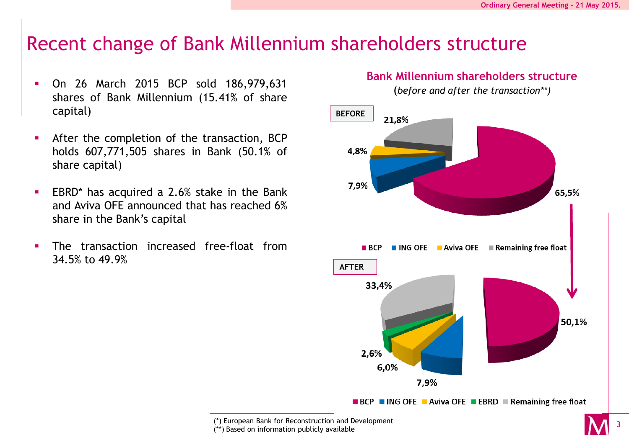#### Recent change of Bank Millennium shareholders structure

- On 26 March 2015 BCP sold 186,979,631 shares of Bank Millennium (15.41% of share capital)
- **After the completion of the transaction, BCP** holds 607,771,505 shares in Bank (50.1% of share capital)
- **EBRD**\* has acquired a 2.6% stake in the Bank and Aviva OFE announced that has reached 6% share in the Bank's capital
- The transaction increased free-float from 34.5% to 49.9%

#### **Bank Millennium shareholders structure**

(*before and after the transaction\*\*)*



<sup>(\*)</sup> European Bank for Reconstruction and Development

<sup>(\*\*)</sup> Based on information publicly available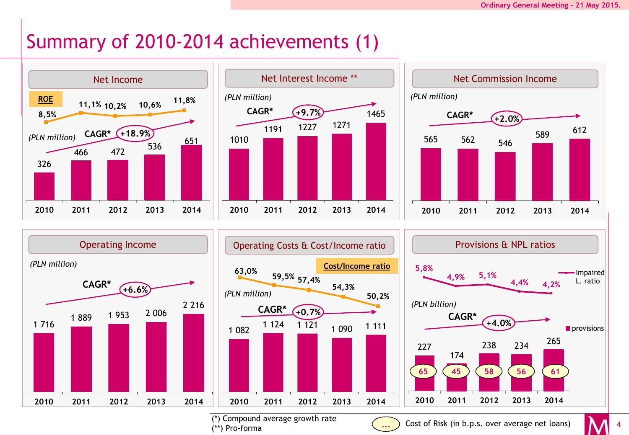# Summary of 2010-2014 achievements (1)











(\*) Compound average growth rate (\*\*) Pro-forma

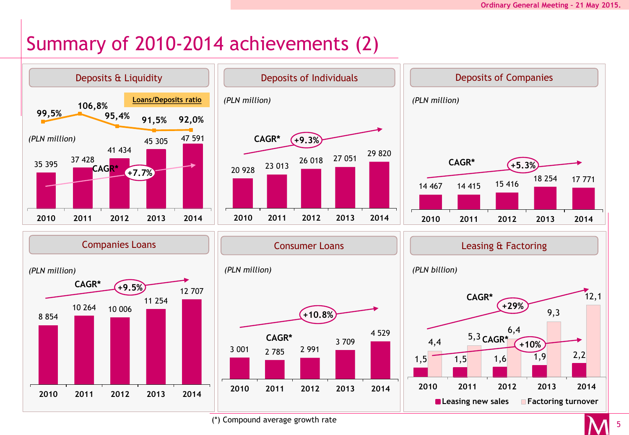# Summary of 2010-2014 achievements (2)



(\*) Compound average growth rate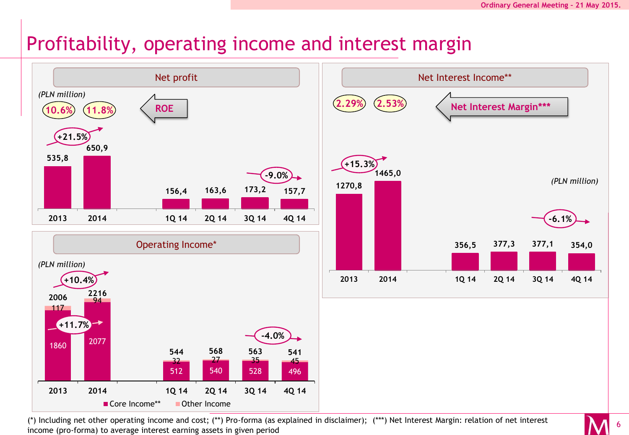6

## Profitability, operating income and interest margin



(\*) Including net other operating income and cost; (\*\*) Pro-forma (as explained in disclaimer); (\*\*\*) Net Interest Margin: relation of net interest income (pro-forma) to average interest earning assets in given period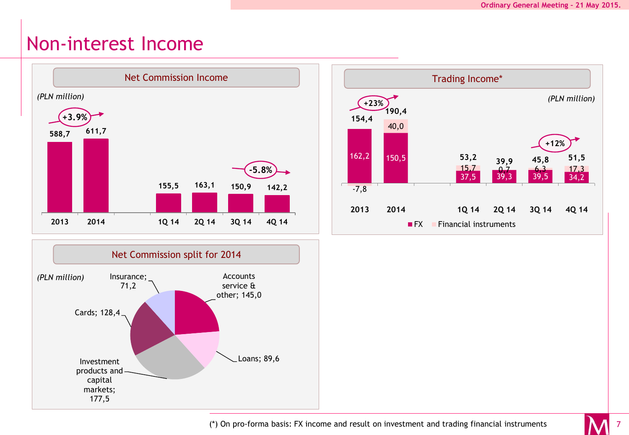#### Non-interest Income





Trading Income\* 162,2 150,5  $\begin{array}{|c|c|c|c|c|c|}\n\hline\n & 15,7 & 0,7 & 6,3 & 17,3 \\
\hline\n & 37,5 & 39,3 & 39,5 & 34,2\n\end{array}$  $-7,8$ 40,0  $\frac{15,7}{37,5}$   $\frac{0,7}{39,3}$   $\frac{6,3}{39,5}$ **154,4 190,4 53,2 39,9 45,8 51,5 2013 2014 1Q 14 2Q 14 3Q 14 4Q 14 <b>Financial instruments** *(PLN million)* **+23% +12%**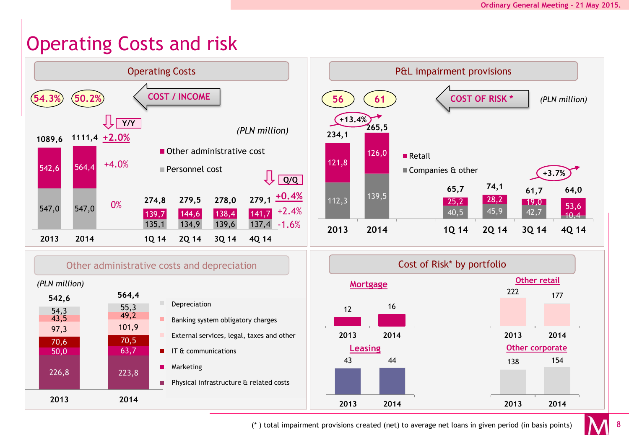# Operating Costs and risk



(\* ) total impairment provisions created (net) to average net loans in given period (in basis points)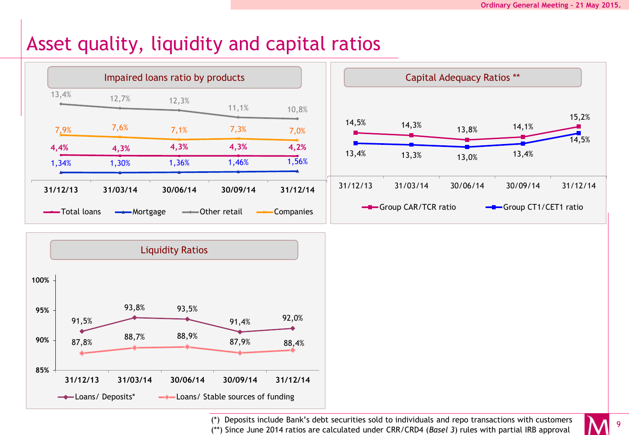## Asset quality, liquidity and capital ratios



(\*) Deposits include Bank's debt securities sold to individuals and repo transactions with customers (\*\*) Since June 2014 ratios are calculated under CRR/CRD4 (*Basel 3*) rules with partial IRB approval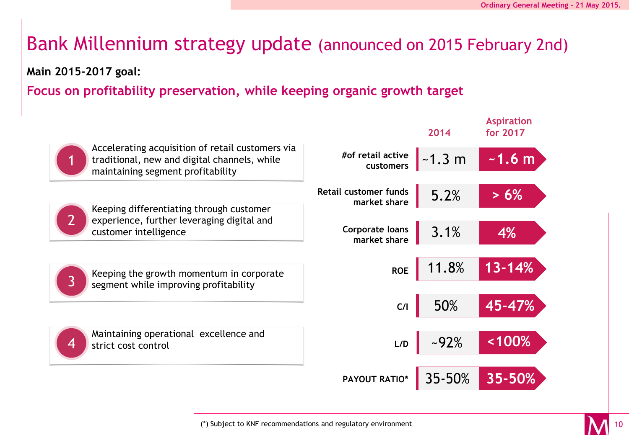# Bank Millennium strategy update (announced on 2015 February 2nd)

#### **Main 2015-2017 goal:**

#### **Focus on profitability preservation, while keeping organic growth target**

|                                                                                                                                       |                                              | 2014     | <b>Aspiration</b><br>for 2017 |
|---------------------------------------------------------------------------------------------------------------------------------------|----------------------------------------------|----------|-------------------------------|
| Accelerating acquisition of retail customers via<br>traditional, new and digital channels, while<br>maintaining segment profitability | #of retail active<br>customers               | $-1.3 m$ | $-1.6 m$                      |
| Keeping differentiating through customer<br>2                                                                                         | <b>Retail customer funds</b><br>market share | 5.2%     | $> 6\%$                       |
| experience, further leveraging digital and<br>customer intelligence                                                                   | Corporate loans<br>market share              | 3.1%     | 4%                            |
| Keeping the growth momentum in corporate<br>$\overline{3}$<br>segment while improving profitability                                   | <b>ROE</b>                                   | 11.8%    | $13 - 14%$                    |
|                                                                                                                                       | C/I                                          | 50%      | 45-47%                        |
| Maintaining operational excellence and<br>4<br>strict cost control                                                                    | L/D                                          | $-92%$   | <100%                         |
|                                                                                                                                       | PAYOUT RATIO*                                | 35-50%   | 35-50%                        |